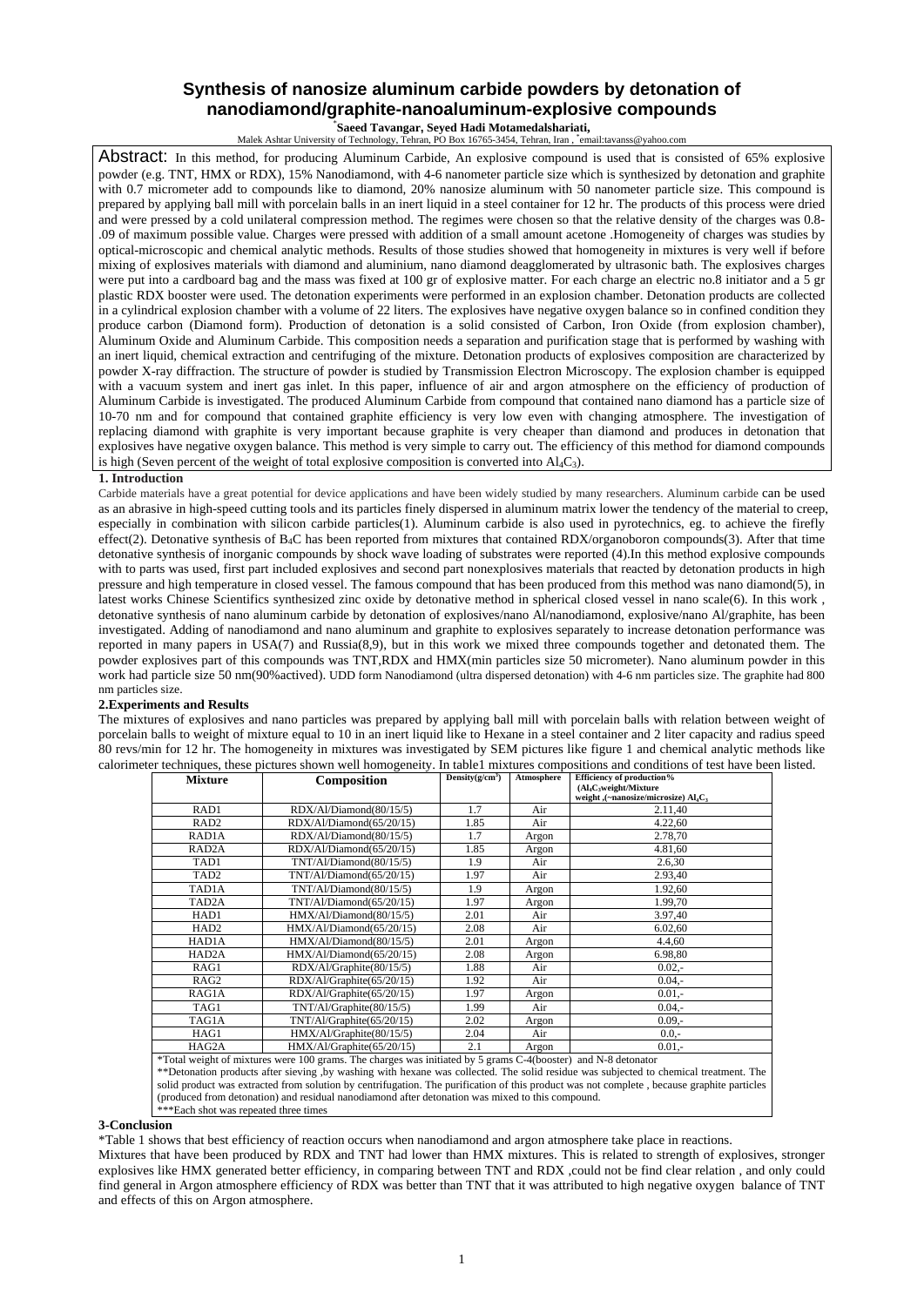## **Synthesis of nanosize aluminum carbide powders by detonation of nanodiamond/graphite-nanoaluminum-explosive compounds**

Saeed Tavangar, Seyed Hadi Motamedalshariati,

**Saeed Tavangar, Seyed Hadi Motamedalshariati,**<br>Malek Ashtar University of Technology, Tehran, PO Box 16765-3454, Tehran, Iran , \*email:tavanss@yahoo.com

Abstract: In this method, for producing Aluminum Carbide, An explosive compound is used that is consisted of 65% explosive powder (e.g. TNT, HMX or RDX), 15% Nanodiamond, with 4-6 nanometer particle size which is synthesized by detonation and graphite with 0.7 micrometer add to compounds like to diamond, 20% nanosize aluminum with 50 nanometer particle size. This compound is prepared by applying ball mill with porcelain balls in an inert liquid in a steel container for 12 hr. The products of this process were dried and were pressed by a cold unilateral compression method. The regimes were chosen so that the relative density of the charges was 0.8- .09 of maximum possible value. Charges were pressed with addition of a small amount acetone .Homogeneity of charges was studies by optical-microscopic and chemical analytic methods. Results of those studies showed that homogeneity in mixtures is very well if before mixing of explosives materials with diamond and aluminium, nano diamond deagglomerated by ultrasonic bath. The explosives charges were put into a cardboard bag and the mass was fixed at 100 gr of explosive matter. For each charge an electric no.8 initiator and a 5 gr plastic RDX booster were used. The detonation experiments were performed in an explosion chamber. Detonation products are collected in a cylindrical explosion chamber with a volume of 22 liters. The explosives have negative oxygen balance so in confined condition they produce carbon (Diamond form). Production of detonation is a solid consisted of Carbon, Iron Oxide (from explosion chamber), Aluminum Oxide and Aluminum Carbide. This composition needs a separation and purification stage that is performed by washing with an inert liquid, chemical extraction and centrifuging of the mixture. Detonation products of explosives composition are characterized by powder X-ray diffraction. The structure of powder is studied by Transmission Electron Microscopy. The explosion chamber is equipped with a vacuum system and inert gas inlet. In this paper, influence of air and argon atmosphere on the efficiency of production of Aluminum Carbide is investigated. The produced Aluminum Carbide from compound that contained nano diamond has a particle size of 10-70 nm and for compound that contained graphite efficiency is very low even with changing atmosphere. The investigation of replacing diamond with graphite is very important because graphite is very cheaper than diamond and produces in detonation that explosives have negative oxygen balance. This method is very simple to carry out. The efficiency of this method for diamond compounds is high (Seven percent of the weight of total explosive composition is converted into  $\text{Al}_4\text{C}_3$ ).

## **1. Introduction**

Carbide materials have a great potential for device applications and have been widely studied by many researchers. Aluminum carbide can be used as an [abrasive](http://en.wikipedia.org/wiki/Abrasive) in high-speed [cutting tools](http://en.wikipedia.org/wiki/Cutting_tool) and its particles finely dispersed in aluminum matrix lower the tendency of the material to [creep](http://en.wikipedia.org/wiki/Creep_(deformation)), especially in combination with [silicon carbide](http://en.wikipedia.org/wiki/Silicon_carbide) particles(1). Aluminum carbide is also used in [pyrotechnics](http://en.wikipedia.org/wiki/Pyrotechnics), eg. to achieve the firefly effect(2). Detonative synthesis of  $B_4C$  has been reported from mixtures that contained RDX/organoboron compounds(3). After that time detonative synthesis of inorganic compounds by shock wave loading of substrates were reported (4).In this method explosive compounds with to parts was used, first part included explosives and second part nonexplosives materials that reacted by detonation products in high pressure and high temperature in closed vessel. The famous compound that has been produced from this method was nano diamond(5), in latest works Chinese Scientifics synthesized zinc oxide by detonative method in spherical closed vessel in nano scale(6). In this work , detonative synthesis of nano aluminum carbide by detonation of explosives/nano Al/nanodiamond, explosive/nano Al/graphite, has been investigated. Adding of nanodiamond and nano aluminum and graphite to explosives separately to increase detonation performance was reported in many papers in USA(7) and Russia(8,9), but in this work we mixed three compounds together and detonated them. The powder explosives part of this compounds was TNT,RDX and HMX(min particles size 50 micrometer). Nano aluminum powder in this work had particle size 50 nm(90%actived). UDD form Nanodiamond (ultra dispersed detonation) with 4-6 nm particles size. The graphite had 800 nm particles size.

## **2.Experiments and Results**

The mixtures of explosives and nano particles was prepared by applying ball mill with porcelain balls with relation between weight of porcelain balls to weight of mixture equal to 10 in an inert liquid like to Hexane in a steel container and 2 liter capacity and radius speed 80 revs/min for 12 hr. The homogeneity in mixtures was investigated by SEM pictures like figure 1 and chemical analytic methods like calorimeter techniques, these pictures shown well homogeneity. In table1 mixtures compositions and conditions of test have been listed.

| <b>Mixture</b>                                                                                                                             | Composition               | Density $(g/cm3)$ | Atmosphere | Efficiency of production%                       |
|--------------------------------------------------------------------------------------------------------------------------------------------|---------------------------|-------------------|------------|-------------------------------------------------|
|                                                                                                                                            |                           |                   |            | $(Al_4C_3$ weight/Mixture                       |
|                                                                                                                                            |                           |                   |            | weight ,(~nanosize/microsize) Al4C <sub>3</sub> |
| RAD1                                                                                                                                       | RDX/Al/Diamond(80/15/5)   | 1.7               | Air        | 2.11,40                                         |
| RAD <sub>2</sub>                                                                                                                           | RDX/Al/Diamond(65/20/15)  | 1.85              | Air        | 4.22,60                                         |
| RAD1A                                                                                                                                      | RDX/Al/Diamond(80/15/5)   | 1.7               | Argon      | 2.78,70                                         |
| RAD <sub>2</sub> A                                                                                                                         | RDX/Al/Diamond(65/20/15)  | 1.85              | Argon      | 4.81,60                                         |
| TAD1                                                                                                                                       | TNT/Al/Diamond(80/15/5)   | 1.9               | Air        | 2.6,30                                          |
| TAD <sub>2</sub>                                                                                                                           | TNT/A1/Diamond(65/20/15)  | 1.97              | Air        | 2.93,40                                         |
| TAD1A                                                                                                                                      | TNT/Al/Diamond(80/15/5)   | 1.9               | Argon      | 1.92,60                                         |
| TAD <sub>2</sub> A                                                                                                                         | TNT/A1/Diamond(65/20/15)  | 1.97              | Argon      | 1.99,70                                         |
| HAD1                                                                                                                                       | HMX/Al/Diamond(80/15/5)   | 2.01              | Air        | 3.97,40                                         |
| HAD <sub>2</sub>                                                                                                                           | HMX/Al/Diamond(65/20/15)  | 2.08              | Air        | 6.02,60                                         |
| HAD1A                                                                                                                                      | HMX/Al/Diamond(80/15/5)   | 2.01              | Argon      | 4.4,60                                          |
| HAD <sub>2</sub> A                                                                                                                         | HMX/Al/Diamond(65/20/15)  | 2.08              | Argon      | 6.98,80                                         |
| RAG1                                                                                                                                       | RDX/Al/Graphite(80/15/5)  | 1.88              | Air        | $0.02,-$                                        |
| RAG <sub>2</sub>                                                                                                                           | RDX/Al/Graphite(65/20/15) | 1.92              | Air        | $0.04 -$                                        |
| RAG1A                                                                                                                                      | RDX/Al/Graphite(65/20/15) | 1.97              | Argon      | $0.01 -$                                        |
| TAG1                                                                                                                                       | TNT/Al/Graphite(80/15/5)  | 1.99              | Air        | $0.04,-$                                        |
| TAG1A                                                                                                                                      | TNT/A1/Graphite(65/20/15) | 2.02              | Argon      | $0.09 -$                                        |
| HAG1                                                                                                                                       | HMX/Al/Graphite(80/15/5)  | 2.04              | Air        | $0.0,-$                                         |
| HAG2A                                                                                                                                      | HMX/Al/Graphite(65/20/15) | 2.1               | Argon      | $0.01 -$                                        |
| *Total weight of mixtures were 100 grams. The charges was initiated by 5 grams C-4(booster) and N-8 detonator                              |                           |                   |            |                                                 |
| **Detonation products after sieving ,by washing with hexane was collected. The solid residue was subjected to chemical treatment. The      |                           |                   |            |                                                 |
| solid product was extracted from solution by centrifugation. The purification of this product was not complete, because graphite particles |                           |                   |            |                                                 |
| (produced from detonation) and residual nanodiamond after detonation was mixed to this compound.                                           |                           |                   |            |                                                 |
| ***Each shot was repeated three times                                                                                                      |                           |                   |            |                                                 |

## **3-Conclusion**

\*Table 1 shows that best efficiency of reaction occurs when nanodiamond and argon atmosphere take place in reactions.

Mixtures that have been produced by RDX and TNT had lower than HMX mixtures. This is related to strength of explosives, stronger explosives like HMX generated better efficiency, in comparing between TNT and RDX ,could not be find clear relation , and only could find general in Argon atmosphere efficiency of RDX was better than TNT that it was attributed to high negative oxygen balance of TNT and effects of this on Argon atmosphere.

1